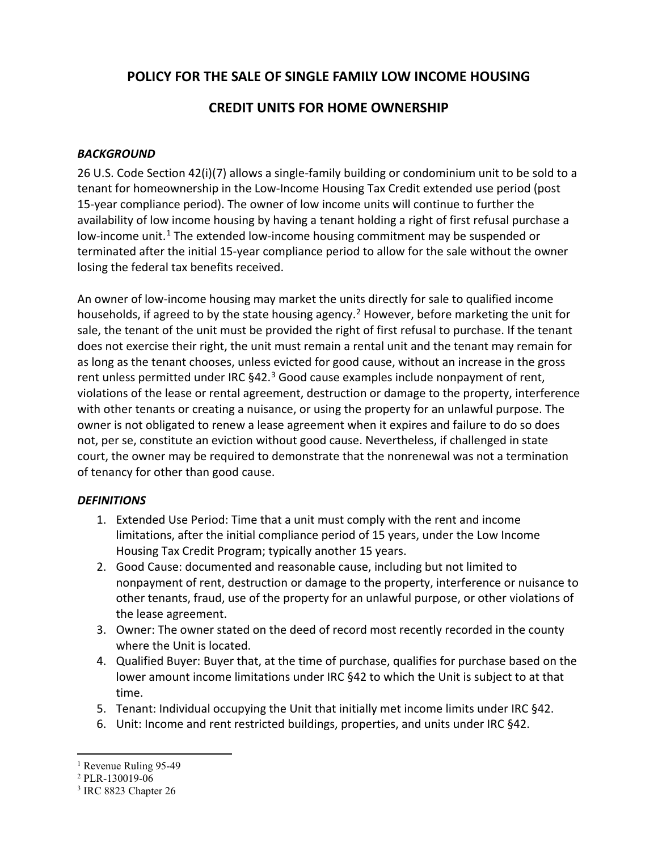# **POLICY FOR THE SALE OF SINGLE FAMILY LOW INCOME HOUSING**

# **CREDIT UNITS FOR HOME OWNERSHIP**

### *BACKGROUND*

26 U.S. Code Section 42(i)(7) allows a single-family building or condominium unit to be sold to a tenant for homeownership in the Low-Income Housing Tax Credit extended use period (post 15-year compliance period). The owner of low income units will continue to further the availability of low income housing by having a tenant holding a right of first refusal purchase a low-income unit.<sup>[1](#page-0-0)</sup> The extended low-income housing commitment may be suspended or terminated after the initial 15-year compliance period to allow for the sale without the owner losing the federal tax benefits received.

An owner of low-income housing may market the units directly for sale to qualified income households, if agreed to by the state housing agency.<sup>[2](#page-0-1)</sup> However, before marketing the unit for sale, the tenant of the unit must be provided the right of first refusal to purchase. If the tenant does not exercise their right, the unit must remain a rental unit and the tenant may remain for as long as the tenant chooses, unless evicted for good cause, without an increase in the gross rent unless permitted under IRC §42.<sup>[3](#page-0-2)</sup> Good cause examples include nonpayment of rent, violations of the lease or rental agreement, destruction or damage to the property, interference with other tenants or creating a nuisance, or using the property for an unlawful purpose. The owner is not obligated to renew a lease agreement when it expires and failure to do so does not, per se, constitute an eviction without good cause. Nevertheless, if challenged in state court, the owner may be required to demonstrate that the nonrenewal was not a termination of tenancy for other than good cause.

#### *DEFINITIONS*

- 1. Extended Use Period: Time that a unit must comply with the rent and income limitations, after the initial compliance period of 15 years, under the Low Income Housing Tax Credit Program; typically another 15 years.
- 2. Good Cause: documented and reasonable cause, including but not limited to nonpayment of rent, destruction or damage to the property, interference or nuisance to other tenants, fraud, use of the property for an unlawful purpose, or other violations of the lease agreement.
- 3. Owner: The owner stated on the deed of record most recently recorded in the county where the Unit is located.
- 4. Qualified Buyer: Buyer that, at the time of purchase, qualifies for purchase based on the lower amount income limitations under IRC §42 to which the Unit is subject to at that time.
- 5. Tenant: Individual occupying the Unit that initially met income limits under IRC §42.
- 6. Unit: Income and rent restricted buildings, properties, and units under IRC §42.

<span id="page-0-0"></span><sup>&</sup>lt;sup>1</sup> Revenue Ruling 95-49

<span id="page-0-1"></span><sup>2</sup> PLR-130019-06

<span id="page-0-2"></span><sup>3</sup> IRC 8823 Chapter 26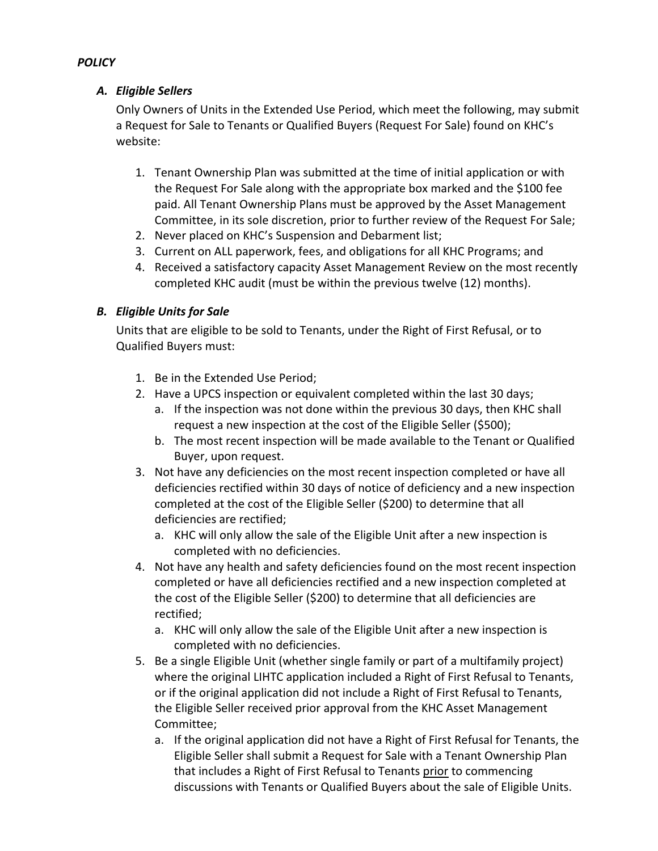### *A. Eligible Sellers*

Only Owners of Units in the Extended Use Period, which meet the following, may submit a Request for Sale to Tenants or Qualified Buyers (Request For Sale) found on KHC's website:

- 1. Tenant Ownership Plan was submitted at the time of initial application or with the Request For Sale along with the appropriate box marked and the \$100 fee paid. All Tenant Ownership Plans must be approved by the Asset Management Committee, in its sole discretion, prior to further review of the Request For Sale;
- 2. Never placed on KHC's Suspension and Debarment list;
- 3. Current on ALL paperwork, fees, and obligations for all KHC Programs; and
- 4. Received a satisfactory capacity Asset Management Review on the most recently completed KHC audit (must be within the previous twelve (12) months).

## *B. Eligible Units for Sale*

Units that are eligible to be sold to Tenants, under the Right of First Refusal, or to Qualified Buyers must:

- 1. Be in the Extended Use Period;
- 2. Have a UPCS inspection or equivalent completed within the last 30 days;
	- a. If the inspection was not done within the previous 30 days, then KHC shall request a new inspection at the cost of the Eligible Seller (\$500);
	- b. The most recent inspection will be made available to the Tenant or Qualified Buyer, upon request.
- 3. Not have any deficiencies on the most recent inspection completed or have all deficiencies rectified within 30 days of notice of deficiency and a new inspection completed at the cost of the Eligible Seller (\$200) to determine that all deficiencies are rectified;
	- a. KHC will only allow the sale of the Eligible Unit after a new inspection is completed with no deficiencies.
- 4. Not have any health and safety deficiencies found on the most recent inspection completed or have all deficiencies rectified and a new inspection completed at the cost of the Eligible Seller (\$200) to determine that all deficiencies are rectified;
	- a. KHC will only allow the sale of the Eligible Unit after a new inspection is completed with no deficiencies.
- 5. Be a single Eligible Unit (whether single family or part of a multifamily project) where the original LIHTC application included a Right of First Refusal to Tenants, or if the original application did not include a Right of First Refusal to Tenants, the Eligible Seller received prior approval from the KHC Asset Management Committee;
	- a. If the original application did not have a Right of First Refusal for Tenants, the Eligible Seller shall submit a Request for Sale with a Tenant Ownership Plan that includes a Right of First Refusal to Tenants prior to commencing discussions with Tenants or Qualified Buyers about the sale of Eligible Units.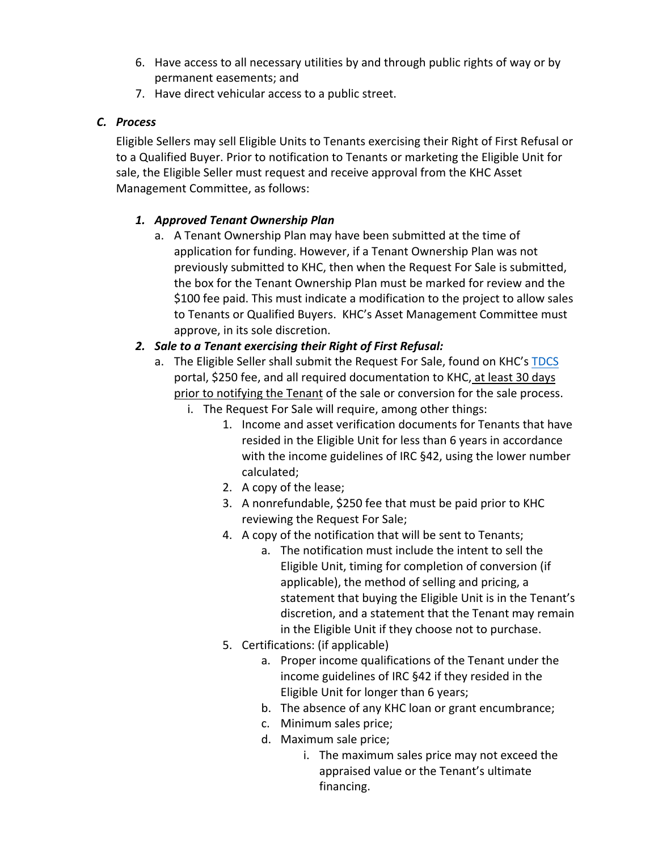- 6. Have access to all necessary utilities by and through public rights of way or by permanent easements; and
- 7. Have direct vehicular access to a public street.

### *C. Process*

Eligible Sellers may sell Eligible Units to Tenants exercising their Right of First Refusal or to a Qualified Buyer. Prior to notification to Tenants or marketing the Eligible Unit for sale, the Eligible Seller must request and receive approval from the KHC Asset Management Committee, as follows:

## *1. Approved Tenant Ownership Plan*

a. A Tenant Ownership Plan may have been submitted at the time of application for funding. However, if a Tenant Ownership Plan was not previously submitted to KHC, then when the Request For Sale is submitted, the box for the Tenant Ownership Plan must be marked for review and the \$100 fee paid. This must indicate a modification to the project to allow sales to Tenants or Qualified Buyers. KHC's Asset Management Committee must approve, in its sole discretion.

# *2. Sale to a Tenant exercising their Right of First Refusal:*

- a. The Eligible Seller shall submit the Request For Sale, found on KHC's [TDCS](https://wapps.kyhousing.org/TDCS/) portal, \$250 fee, and all required documentation to KHC, at least 30 days prior to notifying the Tenant of the sale or conversion for the sale process.
	- i. The Request For Sale will require, among other things:
		- 1. Income and asset verification documents for Tenants that have resided in the Eligible Unit for less than 6 years in accordance with the income guidelines of IRC §42, using the lower number calculated;
		- 2. A copy of the lease;
		- 3. A nonrefundable, \$250 fee that must be paid prior to KHC reviewing the Request For Sale;
		- 4. A copy of the notification that will be sent to Tenants;
			- a. The notification must include the intent to sell the Eligible Unit, timing for completion of conversion (if applicable), the method of selling and pricing, a statement that buying the Eligible Unit is in the Tenant's discretion, and a statement that the Tenant may remain in the Eligible Unit if they choose not to purchase.
		- 5. Certifications: (if applicable)
			- a. Proper income qualifications of the Tenant under the income guidelines of IRC §42 if they resided in the Eligible Unit for longer than 6 years;
			- b. The absence of any KHC loan or grant encumbrance;
			- c. Minimum sales price;
			- d. Maximum sale price;
				- i. The maximum sales price may not exceed the appraised value or the Tenant's ultimate financing.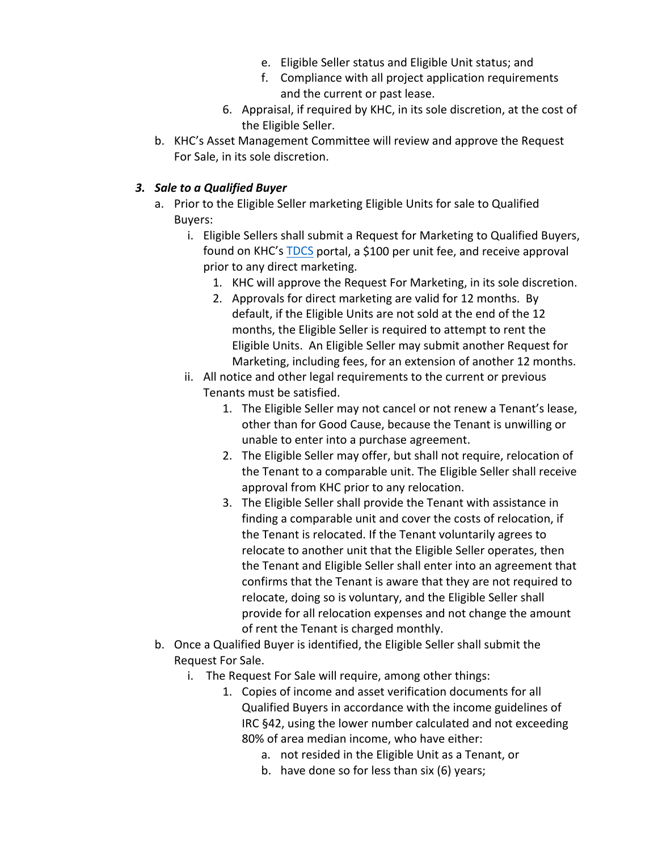- e. Eligible Seller status and Eligible Unit status; and
- f. Compliance with all project application requirements and the current or past lease.
- 6. Appraisal, if required by KHC, in its sole discretion, at the cost of the Eligible Seller.
- b. KHC's Asset Management Committee will review and approve the Request For Sale, in its sole discretion.

#### *3. Sale to a Qualified Buyer*

- a. Prior to the Eligible Seller marketing Eligible Units for sale to Qualified Buyers:
	- i. Eligible Sellers shall submit a Request for Marketing to Qualified Buyers, found on KHC's [TDCS](https://wapps.kyhousing.org/TDCS/) portal, a \$100 per unit fee, and receive approval prior to any direct marketing.
		- 1. KHC will approve the Request For Marketing, in its sole discretion.
		- 2. Approvals for direct marketing are valid for 12 months. By default, if the Eligible Units are not sold at the end of the 12 months, the Eligible Seller is required to attempt to rent the Eligible Units. An Eligible Seller may submit another Request for Marketing, including fees, for an extension of another 12 months.
	- ii. All notice and other legal requirements to the current or previous Tenants must be satisfied.
		- 1. The Eligible Seller may not cancel or not renew a Tenant's lease, other than for Good Cause, because the Tenant is unwilling or unable to enter into a purchase agreement.
		- 2. The Eligible Seller may offer, but shall not require, relocation of the Tenant to a comparable unit. The Eligible Seller shall receive approval from KHC prior to any relocation.
		- 3. The Eligible Seller shall provide the Tenant with assistance in finding a comparable unit and cover the costs of relocation, if the Tenant is relocated. If the Tenant voluntarily agrees to relocate to another unit that the Eligible Seller operates, then the Tenant and Eligible Seller shall enter into an agreement that confirms that the Tenant is aware that they are not required to relocate, doing so is voluntary, and the Eligible Seller shall provide for all relocation expenses and not change the amount of rent the Tenant is charged monthly.
- b. Once a Qualified Buyer is identified, the Eligible Seller shall submit the Request For Sale.
	- i. The Request For Sale will require, among other things:
		- 1. Copies of income and asset verification documents for all Qualified Buyers in accordance with the income guidelines of IRC §42, using the lower number calculated and not exceeding 80% of area median income, who have either:
			- a. not resided in the Eligible Unit as a Tenant, or
			- b. have done so for less than six (6) years;